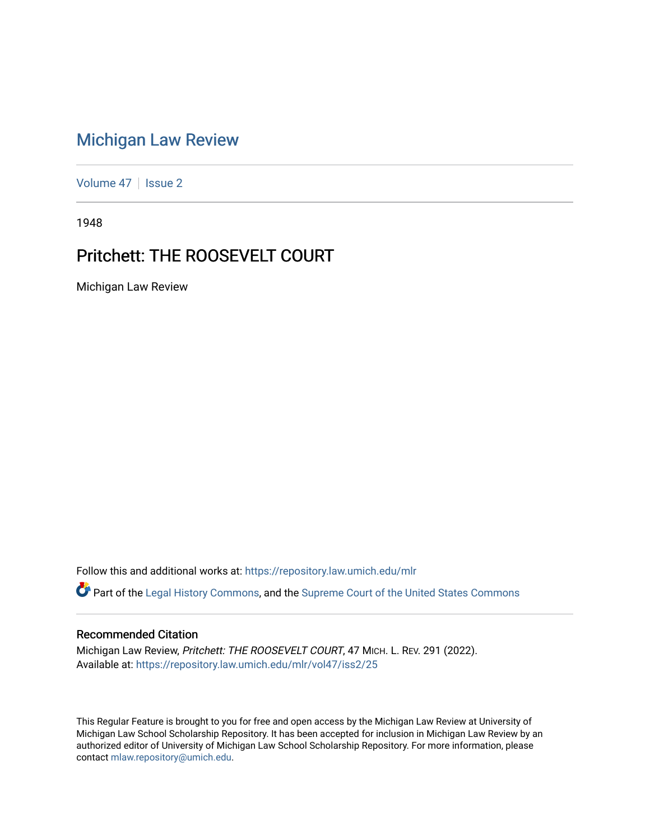## [Michigan Law Review](https://repository.law.umich.edu/mlr)

[Volume 47](https://repository.law.umich.edu/mlr/vol47) | [Issue 2](https://repository.law.umich.edu/mlr/vol47/iss2)

1948

## Pritchett: THE ROOSEVELT COURT

Michigan Law Review

Follow this and additional works at: [https://repository.law.umich.edu/mlr](https://repository.law.umich.edu/mlr?utm_source=repository.law.umich.edu%2Fmlr%2Fvol47%2Fiss2%2F25&utm_medium=PDF&utm_campaign=PDFCoverPages) 

Part of the [Legal History Commons](http://network.bepress.com/hgg/discipline/904?utm_source=repository.law.umich.edu%2Fmlr%2Fvol47%2Fiss2%2F25&utm_medium=PDF&utm_campaign=PDFCoverPages), and the [Supreme Court of the United States Commons](http://network.bepress.com/hgg/discipline/1350?utm_source=repository.law.umich.edu%2Fmlr%2Fvol47%2Fiss2%2F25&utm_medium=PDF&utm_campaign=PDFCoverPages) 

## Recommended Citation

Michigan Law Review, Pritchett: THE ROOSEVELT COURT, 47 MICH. L. REV. 291 (2022). Available at: [https://repository.law.umich.edu/mlr/vol47/iss2/25](https://repository.law.umich.edu/mlr/vol47/iss2/25?utm_source=repository.law.umich.edu%2Fmlr%2Fvol47%2Fiss2%2F25&utm_medium=PDF&utm_campaign=PDFCoverPages) 

This Regular Feature is brought to you for free and open access by the Michigan Law Review at University of Michigan Law School Scholarship Repository. It has been accepted for inclusion in Michigan Law Review by an authorized editor of University of Michigan Law School Scholarship Repository. For more information, please contact [mlaw.repository@umich.edu](mailto:mlaw.repository@umich.edu).